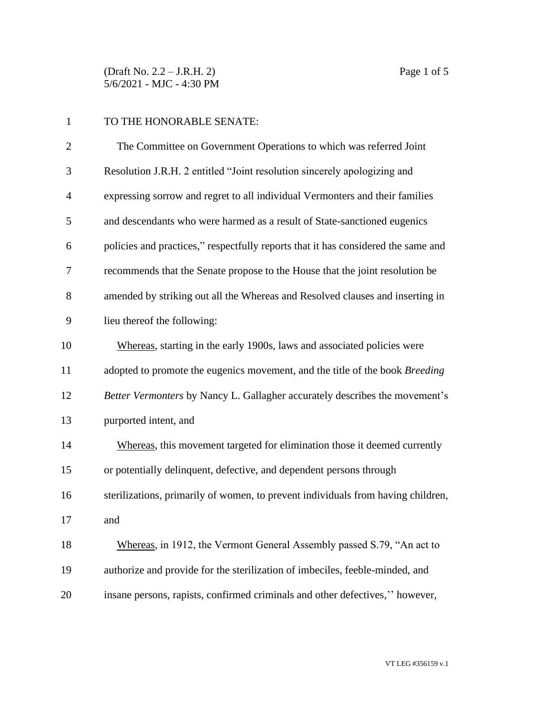(Draft No. 2.2 – J.R.H. 2) Page 1 of 5 5/6/2021 - MJC - 4:30 PM

## TO THE HONORABLE SENATE:

| $\overline{2}$ | The Committee on Government Operations to which was referred Joint                |
|----------------|-----------------------------------------------------------------------------------|
| 3              | Resolution J.R.H. 2 entitled "Joint resolution sincerely apologizing and          |
| $\overline{4}$ | expressing sorrow and regret to all individual Vermonters and their families      |
| 5              | and descendants who were harmed as a result of State-sanctioned eugenics          |
| 6              | policies and practices," respectfully reports that it has considered the same and |
| 7              | recommends that the Senate propose to the House that the joint resolution be      |
| 8              | amended by striking out all the Whereas and Resolved clauses and inserting in     |
| 9              | lieu thereof the following:                                                       |
| 10             | Whereas, starting in the early 1900s, laws and associated policies were           |
| 11             | adopted to promote the eugenics movement, and the title of the book Breeding      |
| 12             | Better Vermonters by Nancy L. Gallagher accurately describes the movement's       |
| 13             | purported intent, and                                                             |
| 14             | Whereas, this movement targeted for elimination those it deemed currently         |
| 15             | or potentially delinquent, defective, and dependent persons through               |
| 16             | sterilizations, primarily of women, to prevent individuals from having children,  |
| 17             | and                                                                               |
| 18             | Whereas, in 1912, the Vermont General Assembly passed S.79, "An act to            |
| 19             | authorize and provide for the sterilization of imbeciles, feeble-minded, and      |
| 20             | insane persons, rapists, confirmed criminals and other defectives," however,      |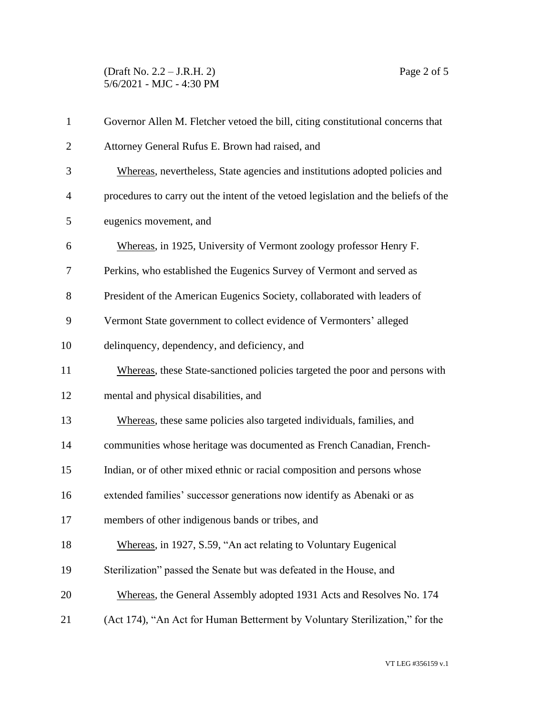## (Draft No. 2.2 – J.R.H. 2) Page 2 of 5 5/6/2021 - MJC - 4:30 PM

| $\mathbf{1}$   | Governor Allen M. Fletcher vetoed the bill, citing constitutional concerns that     |  |  |
|----------------|-------------------------------------------------------------------------------------|--|--|
| $\overline{2}$ | Attorney General Rufus E. Brown had raised, and                                     |  |  |
| 3              | Whereas, nevertheless, State agencies and institutions adopted policies and         |  |  |
| $\overline{4}$ | procedures to carry out the intent of the vetoed legislation and the beliefs of the |  |  |
| 5              | eugenics movement, and                                                              |  |  |
| 6              | Whereas, in 1925, University of Vermont zoology professor Henry F.                  |  |  |
| 7              | Perkins, who established the Eugenics Survey of Vermont and served as               |  |  |
| 8              | President of the American Eugenics Society, collaborated with leaders of            |  |  |
| 9              | Vermont State government to collect evidence of Vermonters' alleged                 |  |  |
| 10             | delinquency, dependency, and deficiency, and                                        |  |  |
| 11             | Whereas, these State-sanctioned policies targeted the poor and persons with         |  |  |
| 12             | mental and physical disabilities, and                                               |  |  |
| 13             | Whereas, these same policies also targeted individuals, families, and               |  |  |
| 14             | communities whose heritage was documented as French Canadian, French-               |  |  |
| 15             | Indian, or of other mixed ethnic or racial composition and persons whose            |  |  |
| 16             | extended families' successor generations now identify as Abenaki or as              |  |  |
| 17             | members of other indigenous bands or tribes, and                                    |  |  |
| 18             | Whereas, in 1927, S.59, "An act relating to Voluntary Eugenical                     |  |  |
| 19             | Sterilization" passed the Senate but was defeated in the House, and                 |  |  |
| 20             | Whereas, the General Assembly adopted 1931 Acts and Resolves No. 174                |  |  |
| 21             | (Act 174), "An Act for Human Betterment by Voluntary Sterilization," for the        |  |  |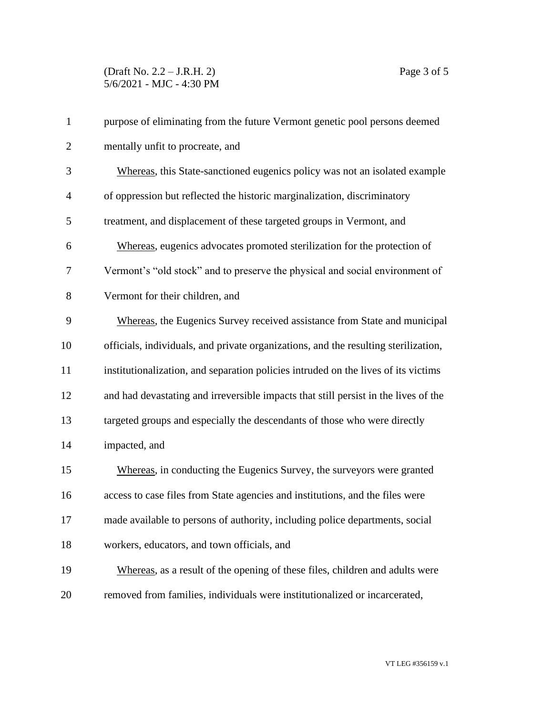## (Draft No. 2.2 – J.R.H. 2) Page 3 of 5 5/6/2021 - MJC - 4:30 PM

| $\mathbf{1}$   | purpose of eliminating from the future Vermont genetic pool persons deemed          |
|----------------|-------------------------------------------------------------------------------------|
| $\overline{2}$ | mentally unfit to procreate, and                                                    |
| 3              | Whereas, this State-sanctioned eugenics policy was not an isolated example          |
| 4              | of oppression but reflected the historic marginalization, discriminatory            |
| 5              | treatment, and displacement of these targeted groups in Vermont, and                |
| 6              | Whereas, eugenics advocates promoted sterilization for the protection of            |
| 7              | Vermont's "old stock" and to preserve the physical and social environment of        |
| 8              | Vermont for their children, and                                                     |
| 9              | Whereas, the Eugenics Survey received assistance from State and municipal           |
| 10             | officials, individuals, and private organizations, and the resulting sterilization, |
| 11             | institutionalization, and separation policies intruded on the lives of its victims  |
| 12             | and had devastating and irreversible impacts that still persist in the lives of the |
| 13             | targeted groups and especially the descendants of those who were directly           |
| 14             | impacted, and                                                                       |
| 15             | Whereas, in conducting the Eugenics Survey, the surveyors were granted              |
| 16             | access to case files from State agencies and institutions, and the files were       |
| 17             | made available to persons of authority, including police departments, social        |
| 18             | workers, educators, and town officials, and                                         |
| 19             | Whereas, as a result of the opening of these files, children and adults were        |
| 20             | removed from families, individuals were institutionalized or incarcerated,          |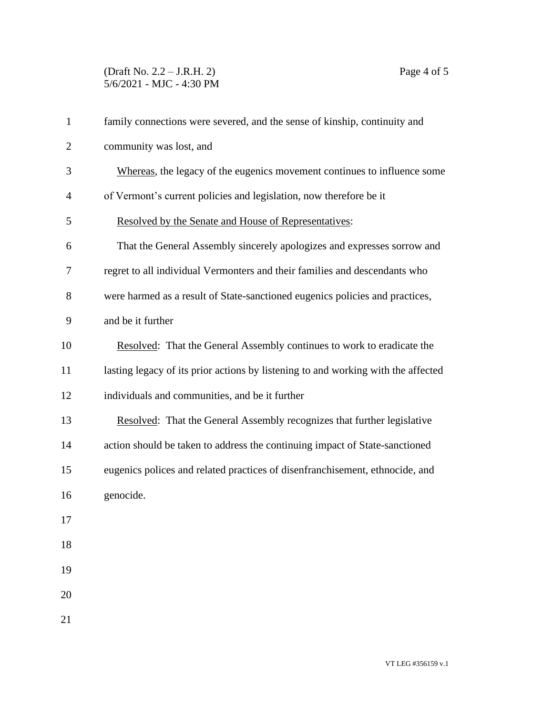## (Draft No. 2.2 – J.R.H. 2) Page 4 of 5 5/6/2021 - MJC - 4:30 PM

| $\mathbf{1}$ | family connections were severed, and the sense of kinship, continuity and         |
|--------------|-----------------------------------------------------------------------------------|
| 2            | community was lost, and                                                           |
| 3            | Whereas, the legacy of the eugenics movement continues to influence some          |
| 4            | of Vermont's current policies and legislation, now therefore be it                |
| 5            | Resolved by the Senate and House of Representatives:                              |
| 6            | That the General Assembly sincerely apologizes and expresses sorrow and           |
| 7            | regret to all individual Vermonters and their families and descendants who        |
| 8            | were harmed as a result of State-sanctioned eugenics policies and practices,      |
| 9            | and be it further                                                                 |
| 10           | Resolved: That the General Assembly continues to work to eradicate the            |
| 11           | lasting legacy of its prior actions by listening to and working with the affected |
| 12           | individuals and communities, and be it further                                    |
| 13           | Resolved: That the General Assembly recognizes that further legislative           |
| 14           | action should be taken to address the continuing impact of State-sanctioned       |
| 15           | eugenics polices and related practices of disenfranchisement, ethnocide, and      |
| 16           | genocide.                                                                         |
| 17           |                                                                                   |
| 18           |                                                                                   |
| 19           |                                                                                   |
| 20           |                                                                                   |
| 21           |                                                                                   |